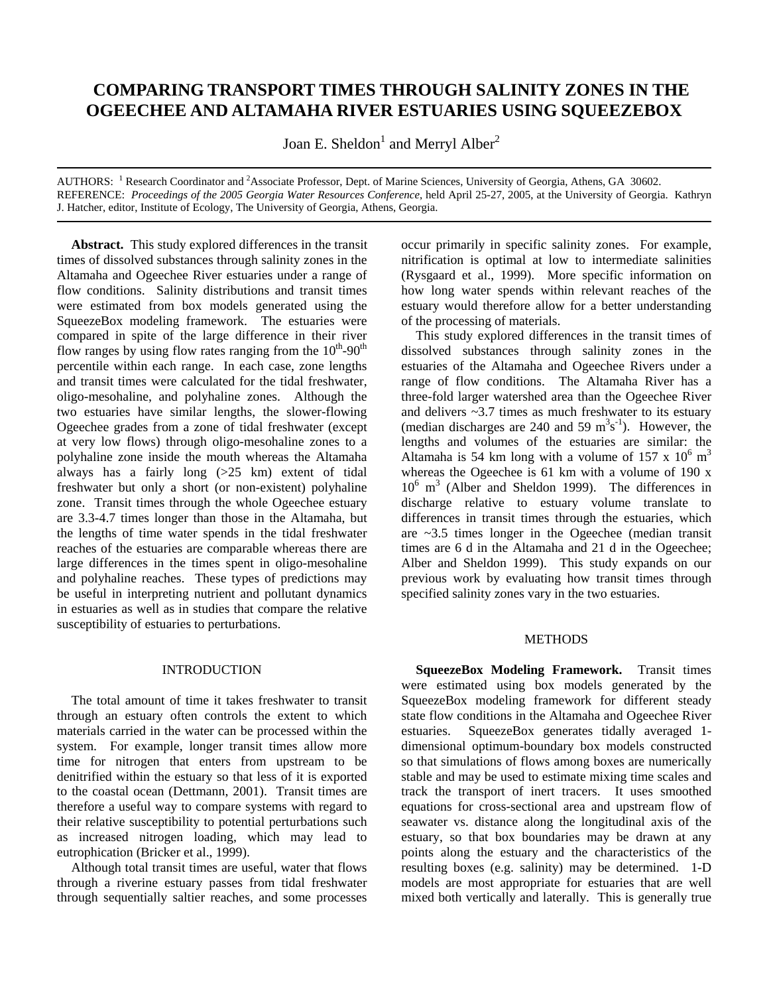# **COMPARING TRANSPORT TIMES THROUGH SALINITY ZONES IN THE OGEECHEE AND ALTAMAHA RIVER ESTUARIES USING SQUEEZEBOX**

Joan E. Sheldon $^1$  and Merryl Alber $^2$ 

AUTHORS: <sup>1</sup> Research Coordinator and <sup>2</sup>Associate Professor, Dept. of Marine Sciences, University of Georgia, Athens, GA 30602. REFERENCE: *Proceedings of the 2005 Georgia Water Resources Conference*, held April 25-27, 2005, at the University of Georgia. Kathryn J. Hatcher, editor, Institute of Ecology, The University of Georgia, Athens, Georgia.

**Abstract.** This study explored differences in the transit times of dissolved substances through salinity zones in the Altamaha and Ogeechee River estuaries under a range of flow conditions. Salinity distributions and transit times were estimated from box models generated using the SqueezeBox modeling framework. The estuaries were compared in spite of the large difference in their river flow ranges by using flow rates ranging from the  $10^{th}$ -90<sup>th</sup> percentile within each range. In each case, zone lengths and transit times were calculated for the tidal freshwater, oligo-mesohaline, and polyhaline zones. Although the two estuaries have similar lengths, the slower-flowing Ogeechee grades from a zone of tidal freshwater (except at very low flows) through oligo-mesohaline zones to a polyhaline zone inside the mouth whereas the Altamaha always has a fairly long (>25 km) extent of tidal freshwater but only a short (or non-existent) polyhaline zone. Transit times through the whole Ogeechee estuary are 3.3-4.7 times longer than those in the Altamaha, but the lengths of time water spends in the tidal freshwater reaches of the estuaries are comparable whereas there are large differences in the times spent in oligo-mesohaline and polyhaline reaches. These types of predictions may be useful in interpreting nutrient and pollutant dynamics in estuaries as well as in studies that compare the relative susceptibility of estuaries to perturbations.

### INTRODUCTION

The total amount of time it takes freshwater to transit through an estuary often controls the extent to which materials carried in the water can be processed within the system. For example, longer transit times allow more time for nitrogen that enters from upstream to be denitrified within the estuary so that less of it is exported to the coastal ocean (Dettmann, 2001). Transit times are therefore a useful way to compare systems with regard to their relative susceptibility to potential perturbations such as increased nitrogen loading, which may lead to eutrophication (Bricker et al., 1999).

Although total transit times are useful, water that flows through a riverine estuary passes from tidal freshwater through sequentially saltier reaches, and some processes

occur primarily in specific salinity zones. For example, nitrification is optimal at low to intermediate salinities (Rysgaard et al., 1999). More specific information on how long water spends within relevant reaches of the estuary would therefore allow for a better understanding of the processing of materials.

This study explored differences in the transit times of dissolved substances through salinity zones in the estuaries of the Altamaha and Ogeechee Rivers under a range of flow conditions. The Altamaha River has a three-fold larger watershed area than the Ogeechee River and delivers ~3.7 times as much freshwater to its estuary (median discharges are 240 and 59  $m^3s^{-1}$ ). However, the lengths and volumes of the estuaries are similar: the Altamaha is 54 km long with a volume of 157 x  $10^6$  m<sup>3</sup> whereas the Ogeechee is 61 km with a volume of 190 x 106 m 3 (Alber and Sheldon 1999). The differences in discharge relative to estuary volume translate to differences in transit times through the estuaries, which are ~3.5 times longer in the Ogeechee (median transit times are 6 d in the Altamaha and 21 d in the Ogeechee; Alber and Sheldon 1999). This study expands on our previous work by evaluating how transit times through specified salinity zones vary in the two estuaries.

## **METHODS**

**SqueezeBox Modeling Framework.** Transit times were estimated using box models generated by the SqueezeBox modeling framework for different steady state flow conditions in the Altamaha and Ogeechee River estuaries. SqueezeBox generates tidally averaged 1 dimensional optimum-boundary box models constructed so that simulations of flows among boxes are numerically stable and may be used to estimate mixing time scales and track the transport of inert tracers. It uses smoothed equations for cross-sectional area and upstream flow of seawater vs. distance along the longitudinal axis of the estuary, so that box boundaries may be drawn at any points along the estuary and the characteristics of the resulting boxes (e.g. salinity) may be determined. 1-D models are most appropriate for estuaries that are well mixed both vertically and laterally. This is generally true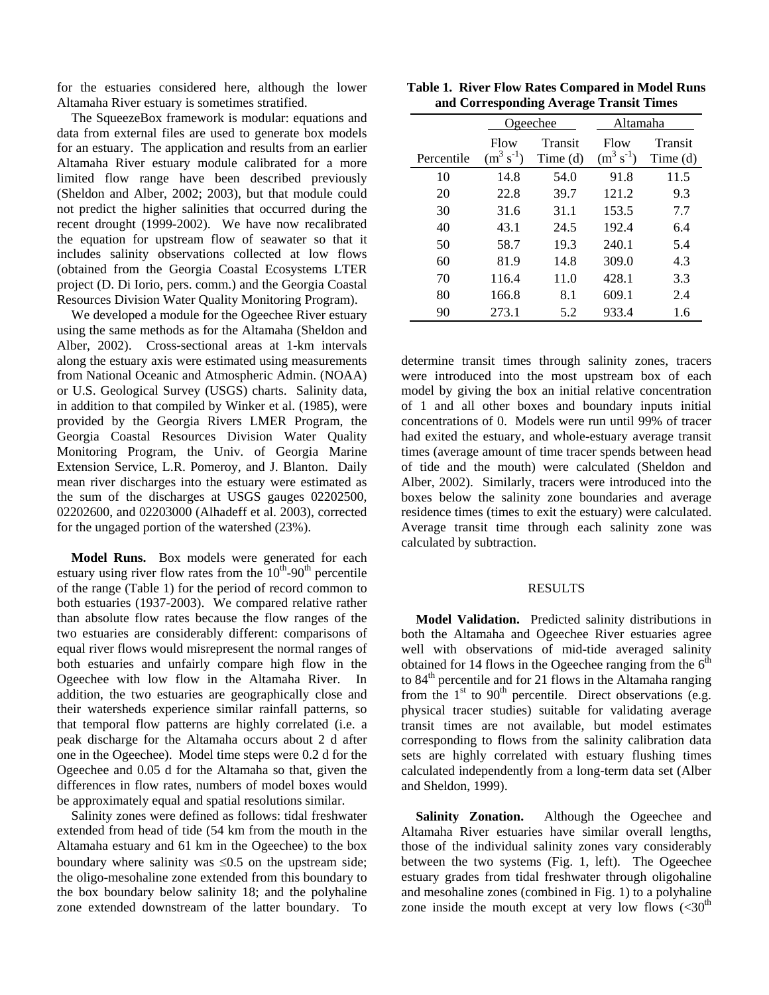for the estuaries considered here, although the lower Altamaha River estuary is sometimes stratified.

The SqueezeBox framework is modular: equations and data from external files are used to generate box models for an estuary. The application and results from an earlier Altamaha River estuary module calibrated for a more limited flow range have been described previously (Sheldon and Alber, 2002; 2003), but that module could not predict the higher salinities that occurred during the recent drought (1999-2002). We have now recalibrated the equation for upstream flow of seawater so that it includes salinity observations collected at low flows (obtained from the Georgia Coastal Ecosystems LTER project (D. Di Iorio, pers. comm.) and the Georgia Coastal Resources Division Water Quality Monitoring Program).

We developed a module for the Ogeechee River estuary using the same methods as for the Altamaha (Sheldon and Alber, 2002). Cross-sectional areas at 1-km intervals along the estuary axis were estimated using measurements from National Oceanic and Atmospheric Admin. (NOAA) or U.S. Geological Survey (USGS) charts. Salinity data, in addition to that compiled by Winker et al. (1985), were provided by the Georgia Rivers LMER Program, the Georgia Coastal Resources Division Water Quality Monitoring Program, the Univ. of Georgia Marine Extension Service, L.R. Pomeroy, and J. Blanton. Daily mean river discharges into the estuary were estimated as the sum of the discharges at USGS gauges 02202500, 02202600, and 02203000 (Alhadeff et al. 2003), corrected for the ungaged portion of the watershed (23%).

**Model Runs.** Box models were generated for each estuary using river flow rates from the  $10^{th}$ -90<sup>th</sup> percentile of the range (Table 1) for the period of record common to both estuaries (1937-2003). We compared relative rather than absolute flow rates because the flow ranges of the two estuaries are considerably different: comparisons of equal river flows would misrepresent the normal ranges of both estuaries and unfairly compare high flow in the Ogeechee with low flow in the Altamaha River. In addition, the two estuaries are geographically close and their watersheds experience similar rainfall patterns, so that temporal flow patterns are highly correlated (i.e. a peak discharge for the Altamaha occurs about 2 d after one in the Ogeechee). Model time steps were 0.2 d for the Ogeechee and 0.05 d for the Altamaha so that, given the differences in flow rates, numbers of model boxes would be approximately equal and spatial resolutions similar.

Salinity zones were defined as follows: tidal freshwater extended from head of tide (54 km from the mouth in the Altamaha estuary and 61 km in the Ogeechee) to the box boundary where salinity was  $\leq 0.5$  on the upstream side; the oligo-mesohaline zone extended from this boundary to the box boundary below salinity 18; and the polyhaline zone extended downstream of the latter boundary. To

|  | Table 1. River Flow Rates Compared in Model Runs |  |
|--|--------------------------------------------------|--|
|  | and Corresponding Average Transit Times          |  |

|            | <u>Ogeechee</u>        |                     | Altamaha               |                                |
|------------|------------------------|---------------------|------------------------|--------------------------------|
| Percentile | Flow<br>$(m^3 s^{-1})$ | Transit<br>Time (d) | Flow<br>$(m^3 s^{-1})$ | Transit<br>Time <sub>(d)</sub> |
| 10         | 14.8                   | 54.0                | 91.8                   | 11.5                           |
| 20         | 22.8                   | 39.7                | 121.2                  | 9.3                            |
| 30         | 31.6                   | 31.1                | 153.5                  | 7.7                            |
| 40         | 43.1                   | 24.5                | 192.4                  | 6.4                            |
| 50         | 58.7                   | 19.3                | 240.1                  | 5.4                            |
| 60         | 81.9                   | 14.8                | 309.0                  | 4.3                            |
| 70         | 116.4                  | 11.0                | 428.1                  | 3.3                            |
| 80         | 166.8                  | 8.1                 | 609.1                  | 2.4                            |
| 90         | 273.1                  | 5.2                 | 933.4                  | 1.6                            |

determine transit times through salinity zones, tracers were introduced into the most upstream box of each model by giving the box an initial relative concentration of 1 and all other boxes and boundary inputs initial concentrations of 0. Models were run until 99% of tracer had exited the estuary, and whole-estuary average transit times (average amount of time tracer spends between head of tide and the mouth) were calculated (Sheldon and Alber, 2002). Similarly, tracers were introduced into the boxes below the salinity zone boundaries and average residence times (times to exit the estuary) were calculated. Average transit time through each salinity zone was calculated by subtraction.

### RESULTS

**Model Validation.** Predicted salinity distributions in both the Altamaha and Ogeechee River estuaries agree well with observations of mid-tide averaged salinity obtained for 14 flows in the Ogeechee ranging from the  $6<sup>th</sup>$ to  $84<sup>th</sup>$  percentile and for 21 flows in the Altamaha ranging from the  $1<sup>st</sup>$  to  $90<sup>th</sup>$  percentile. Direct observations (e.g. physical tracer studies) suitable for validating average transit times are not available, but model estimates corresponding to flows from the salinity calibration data sets are highly correlated with estuary flushing times calculated independently from a long-term data set (Alber and Sheldon, 1999).

**Salinity Zonation.** Although the Ogeechee and Altamaha River estuaries have similar overall lengths, those of the individual salinity zones vary considerably between the two systems (Fig. 1, left). The Ogeechee estuary grades from tidal freshwater through oligohaline and mesohaline zones (combined in Fig. 1) to a polyhaline zone inside the mouth except at very low flows  $(*30*<sup>th</sup>)$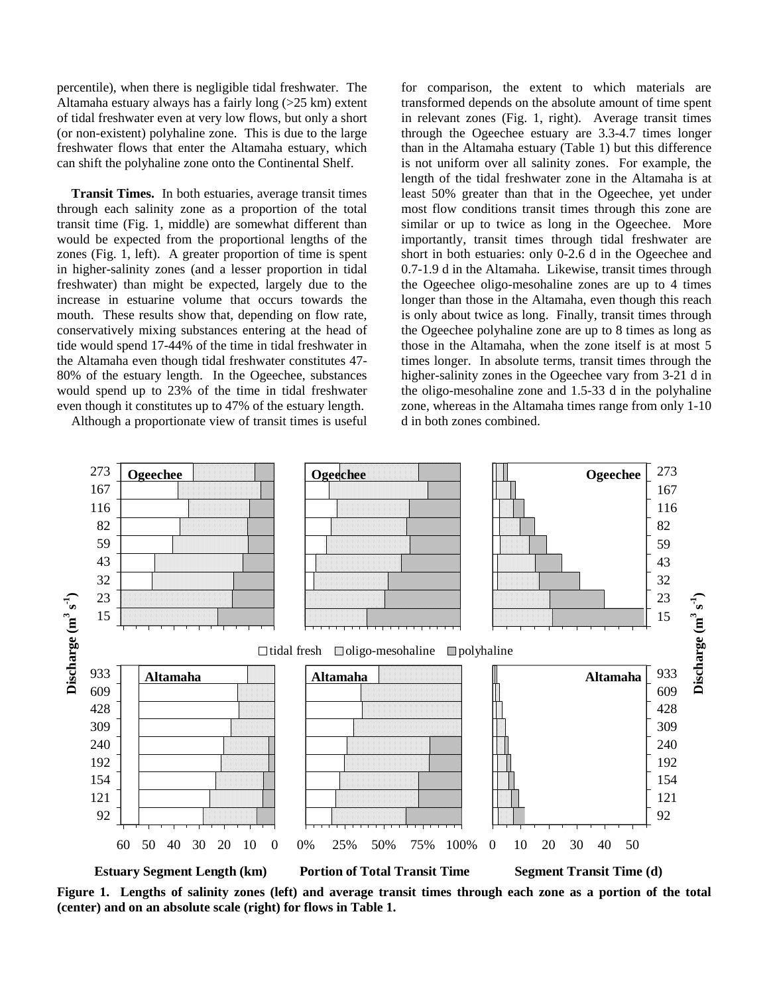percentile), when there is negligible tidal freshwater. The Altamaha estuary always has a fairly long (>25 km) extent of tidal freshwater even at very low flows, but only a short (or non-existent) polyhaline zone. This is due to the large freshwater flows that enter the Altamaha estuary, which can shift the polyhaline zone onto the Continental Shelf.

**Transit Times.** In both estuaries, average transit times through each salinity zone as a proportion of the total transit time (Fig. 1, middle) are somewhat different than would be expected from the proportional lengths of the zones (Fig. 1, left). A greater proportion of time is spent in higher-salinity zones (and a lesser proportion in tidal freshwater) than might be expected, largely due to the increase in estuarine volume that occurs towards the mouth. These results show that, depending on flow rate, conservatively mixing substances entering at the head of tide would spend 17-44% of the time in tidal freshwater in the Altamaha even though tidal freshwater constitutes 47- 80% of the estuary length. In the Ogeechee, substances would spend up to 23% of the time in tidal freshwater even though it constitutes up to 47% of the estuary length.

Although a proportionate view of transit times is useful

for comparison, the extent to which materials are transformed depends on the absolute amount of time spent in relevant zones (Fig. 1, right). Average transit times through the Ogeechee estuary are 3.3-4.7 times longer than in the Altamaha estuary (Table 1) but this difference is not uniform over all salinity zones. For example, the length of the tidal freshwater zone in the Altamaha is at least 50% greater than that in the Ogeechee, yet under most flow conditions transit times through this zone are similar or up to twice as long in the Ogeechee. More importantly, transit times through tidal freshwater are short in both estuaries: only 0-2.6 d in the Ogeechee and 0.7-1.9 d in the Altamaha. Likewise, transit times through the Ogeechee oligo-mesohaline zones are up to 4 times longer than those in the Altamaha, even though this reach is only about twice as long. Finally, transit times through the Ogeechee polyhaline zone are up to 8 times as long as those in the Altamaha, when the zone itself is at most 5 times longer. In absolute terms, transit times through the higher-salinity zones in the Ogeechee vary from 3-21 d in the oligo-mesohaline zone and 1.5-33 d in the polyhaline zone, whereas in the Altamaha times range from only 1-10 d in both zones combined.



**Figure 1. Lengths of salinity zones (left) and average transit times through each zone as a portion of the total (center) and on an absolute scale (right) for flows in Table 1.**